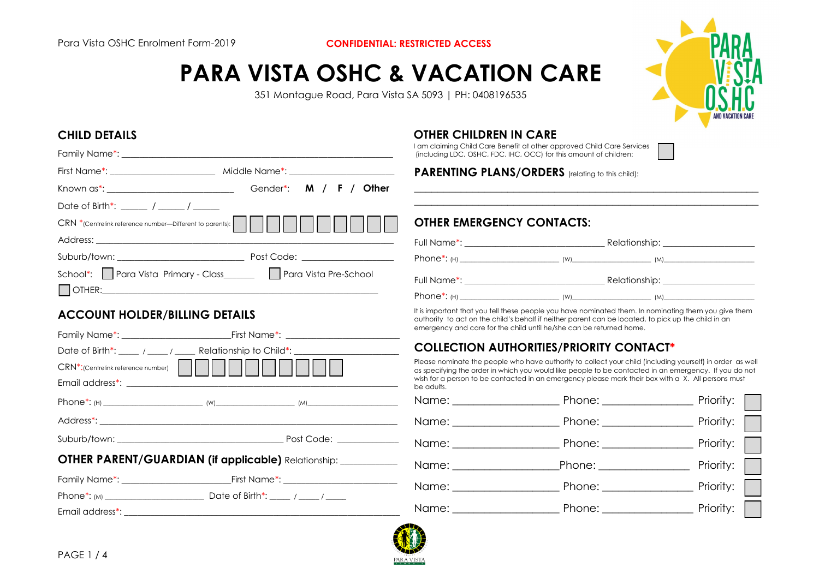# **PARA VISTA OSHC & VACATION CARE**

351 Montague Road, Para Vista SA 5093 | PH: 0408196535



# **CHILD DETAILS**

| Known as*: ________________________________ | Gender*: M / F / Other                                           |
|---------------------------------------------|------------------------------------------------------------------|
| Date of Birth*: ______ / _____ / ______     |                                                                  |
|                                             |                                                                  |
|                                             |                                                                  |
|                                             |                                                                  |
|                                             | School*: Para Vista Primary - Class_______ Para Vista Pre-School |
|                                             |                                                                  |

# **ACCOUNT HOLDER/BILLING DETAILS**

|                                                                | Date of Birth*: _____ / _____ / _____ Relationship to Child*: __________________ |  |  |  |
|----------------------------------------------------------------|----------------------------------------------------------------------------------|--|--|--|
| CRN <sup>*</sup> :(Centrelink reference number)                |                                                                                  |  |  |  |
|                                                                |                                                                                  |  |  |  |
|                                                                |                                                                                  |  |  |  |
|                                                                |                                                                                  |  |  |  |
|                                                                |                                                                                  |  |  |  |
| OTHER PARENT/GUARDIAN (if applicable) Relationship: __________ |                                                                                  |  |  |  |
|                                                                |                                                                                  |  |  |  |
|                                                                |                                                                                  |  |  |  |
|                                                                |                                                                                  |  |  |  |

# **OTHER CHILDREN IN CARE**

I am claiming Child Care Benefit at other approved Child Care Services (including LDC, OSHC, FDC, IHC, OCC) for this amount of children:

**PARENTING PLANS/ORDERS** (relating to this child):

# **OTHER EMERGENCY CONTACTS:**

| Full Name*: ________________________________ | Relationship: _____________________                                                                                                                                                                                           |
|----------------------------------------------|-------------------------------------------------------------------------------------------------------------------------------------------------------------------------------------------------------------------------------|
|                                              |                                                                                                                                                                                                                               |
| Full Name*: _____________________________    | Relationship: ____________________                                                                                                                                                                                            |
|                                              | $(M)$ (W) and the contract of the contract of the contract of the contract of the contract of the contract of the contract of the contract of the contract of the contract of the contract of the contract of the contract of |

 $\_$  . The contribution of the contribution of  $\mathcal{L}_\mathcal{A}$  $\_$  . The contribution of the contribution of  $\mathcal{L}_\mathcal{A}$ 

It is important that you tell these people you have nominated them. In nominating them you give them authority to act on the child's behalf if neither parent can be located, to pick up the child in an emergency and care for the child until he/she can be returned home.

# **COLLECTION AUTHORITIES/PRIORITY CONTACT\***

Please nominate the people who have authority to collect your child (including yourself) in order as well as specifying the order in which you would like people to be contacted in an emergency. If you do not wish for a person to be contacted in an emergency please mark their box with a X. All persons must be adults.

| Name: ___________________ |  |
|---------------------------|--|
|                           |  |
|                           |  |
|                           |  |
|                           |  |
|                           |  |

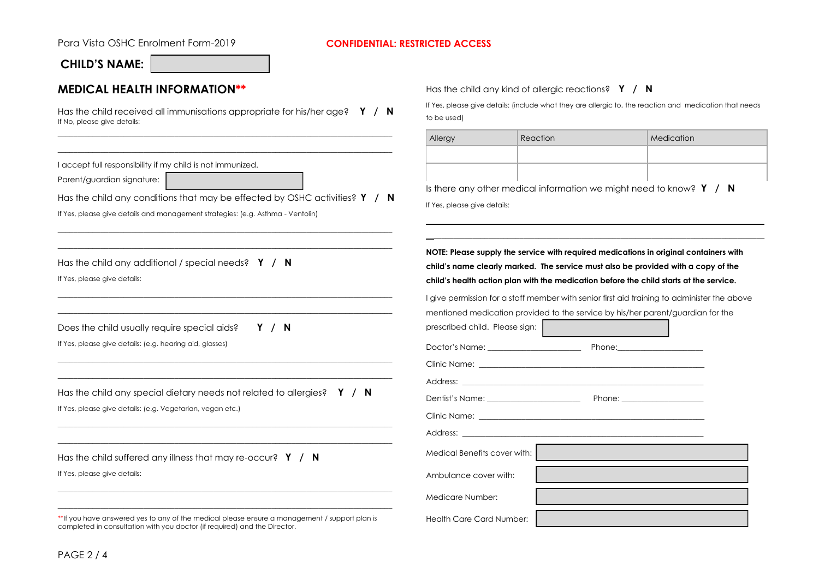#### Para Vista OSHC Enrolment Form-2019 **CONFIDENTIAL: RESTRICTED ACCESS**

 $\sim$ 

# **CHILD'S NAME:**

# **MEDICAL HEALTH INFORMATION\*\***

Has the child received all immunisations appropriate for his/her age? **Y / N** If No, please give details:

Has the child any kind of allergic reactions? **Y / N**

If Yes, please give details: (include what they are allergic to, the reaction and medication that needs to be used)

|                                                                                                                                                                                                                                                            | Allergy                                               | Reaction                                                                                                                                                                                                                                                                                                                                         | Medication                                                                                                                                                                                                                                                                                                                                                          |
|------------------------------------------------------------------------------------------------------------------------------------------------------------------------------------------------------------------------------------------------------------|-------------------------------------------------------|--------------------------------------------------------------------------------------------------------------------------------------------------------------------------------------------------------------------------------------------------------------------------------------------------------------------------------------------------|---------------------------------------------------------------------------------------------------------------------------------------------------------------------------------------------------------------------------------------------------------------------------------------------------------------------------------------------------------------------|
| accept full responsibility if my child is not immunized.<br>Parent/guardian signature:<br>Has the child any conditions that may be effected by OSHC activities? $Y / N$<br>If Yes, please give details and management strategies: (e.g. Asthma - Ventolin) | If Yes, please give details:                          |                                                                                                                                                                                                                                                                                                                                                  | Is there any other medical information we might need to know? $Y / N$                                                                                                                                                                                                                                                                                               |
| Has the child any additional / special needs? $Y / N$<br>If Yes, please give details:                                                                                                                                                                      |                                                       |                                                                                                                                                                                                                                                                                                                                                  | NOTE: Please supply the service with required medications in original containers with<br>child's name clearly marked. The service must also be provided with a copy of the<br>child's health action plan with the medication before the child starts at the service.<br>I give permission for a staff member with senior first aid training to administer the above |
| Does the child usually require special aids?<br>Y / N<br>If Yes, please give details: (e.g. hearing aid, glasses)                                                                                                                                          | prescribed child. Please sign:                        |                                                                                                                                                                                                                                                                                                                                                  | mentioned medication provided to the service by his/her parent/guardian for the                                                                                                                                                                                                                                                                                     |
| Has the child any special dietary needs not related to allergies? $\gamma / N$<br>If Yes, please give details: (e.g. Vegetarian, vegan etc.)                                                                                                               |                                                       | Clinic Name: Latin and Clinic Name: Latin and Clinic Name: Latin and Clinic Name: Latin and Clinic Name: Latin<br>Address: the contract of the contract of the contract of the contract of the contract of the contract of the contract of the contract of the contract of the contract of the contract of the contract of the contract of the c |                                                                                                                                                                                                                                                                                                                                                                     |
| Has the child suffered any illness that may re-occur? $Y / N$<br>If Yes, please give details:                                                                                                                                                              | Medical Benefits cover with:<br>Ambulance cover with: |                                                                                                                                                                                                                                                                                                                                                  |                                                                                                                                                                                                                                                                                                                                                                     |
| **If you have answered yes to any of the medical please ensure a management / support plan is                                                                                                                                                              | Medicare Number:<br><b>Health Care Card Number:</b>   |                                                                                                                                                                                                                                                                                                                                                  |                                                                                                                                                                                                                                                                                                                                                                     |

completed in consultation with you doctor (if required) and the Director.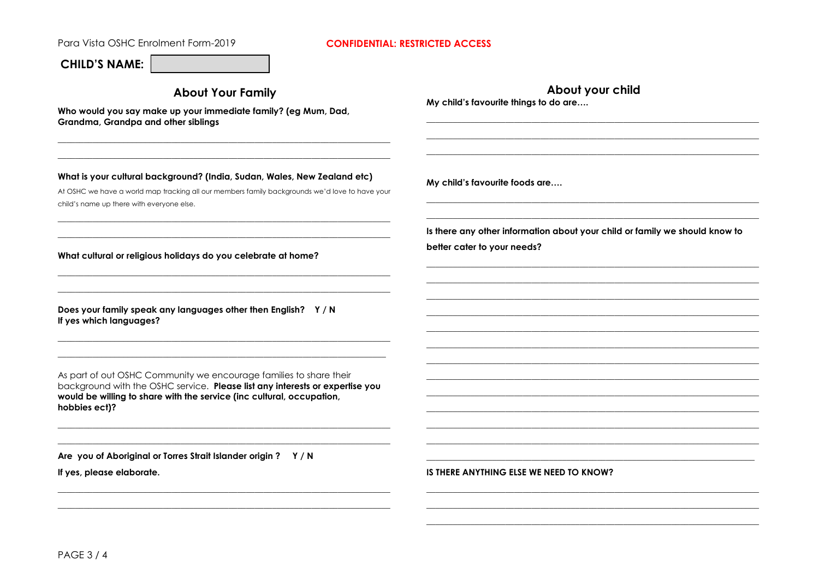Para Vista OSHC Enrolment Form-2019

#### **CONFIDENTIAL: RESTRICTED ACCESS**

## **CHILD'S NAME:**

child's name up there with everyone else.

**About Your Family** 

Who would you say make up your immediate family? (eg Mum, Dad, Grandma, Grandpa and other siblings

What is your cultural background? (India, Sudan, Wales, New Zealand etc)

At OSHC we have a world map tracking all our members family backarounds we'd love to have your

About your child My child's favourite things to do are....

My child's favourite foods are....

Is there any other information about your child or family we should know to better cater to your needs?

What cultural or religious holidays do you celebrate at home?

Does your family speak any languages other then English? Y/N If yes which languages?

As part of out OSHC Community we encourage families to share their background with the OSHC service. Please list any interests or expertise you would be willing to share with the service (inc cultural, occupation, hobbies ect)?

Are you of Aboriginal or Torres Strait Islander origin ? Y/N

If yes, please elaborate.

IS THERE ANYTHING ELSE WE NEED TO KNOW?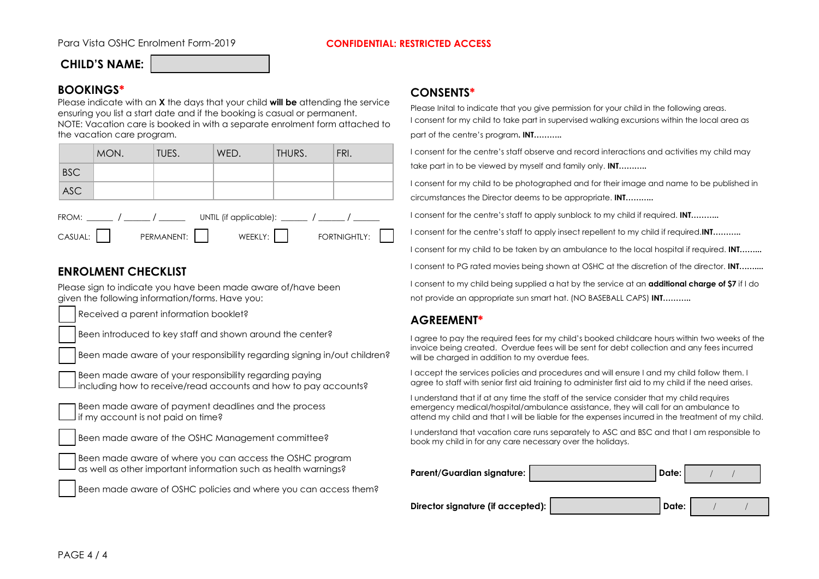#### Para Vista OSHC Enrolment Form-2019 **CONFIDENTIAL: RESTRICTED ACCESS**

# **CHILD'S NAME:**

### **BOOKINGS\***

Please indicate with an **X** the days that your child **will be** attending the service ensuring you list a start date and if the booking is casual or permanent. NOTE: Vacation care is booked in with a separate enrolment form attached to the vacation care program.

|                                                   | MON. | TUES.      | WED.    | THURS. | FRI.         |  |
|---------------------------------------------------|------|------------|---------|--------|--------------|--|
| <b>BSC</b>                                        |      |            |         |        |              |  |
| <b>ASC</b>                                        |      |            |         |        |              |  |
| UNTIL (if applicable): $\sqrt{2\pi}$<br>FROM: / / |      |            |         |        |              |  |
| CASUAL:                                           |      | PERMANENT: | WEEKLY: |        | FORTNIGHTLY: |  |

# **ENROLMENT CHECKLIST**

Please sign to indicate you have been made aware of/have been given the following information/forms. Have you:

Received a parent information booklet?

Been introduced to key staff and shown around the center?

Been made aware of your responsibility regarding signing in/out children?

Been made aware of your responsibility regarding paying including how to receive/read accounts and how to pay accounts?

Been made aware of payment deadlines and the process if my account is not paid on time?

Been made aware of the OSHC Management committee?

Been made aware of where you can access the OSHC program as well as other important information such as health warnings?

Been made aware of OSHC policies and where you can access them?

#### **CONSENTS\***

Please Inital to indicate that you give permission for your child in the following areas. I consent for my child to take part in supervised walking excursions within the local area as part of the centre's program**. INT………..**

I consent for the centre's staff observe and record interactions and activities my child may take part in to be viewed by myself and family only. **INT………..**

I consent for my child to be photographed and for their image and name to be published in circumstances the Director deems to be appropriate. **INT………..**

I consent for the centre's staff to apply sunblock to my child if required. **INT………..**

I consent for the centre's staff to apply insect repellent to my child if required.**INT………..** 

I consent for my child to be taken by an ambulance to the local hospital if required. **INT……...**

I consent to PG rated movies being shown at OSHC at the discretion of the director. **INT……....** 

I consent to my child being supplied a hat by the service at an **additional charge of \$7** if I do not provide an appropriate sun smart hat. (NO BASEBALL CAPS) **INT………..** 

### **AGREEMENT\***

I agree to pay the required fees for my child's booked childcare hours within two weeks of the invoice being created. Overdue fees will be sent for debt collection and any fees incurred will be charged in addition to my overdue fees.

I accept the services policies and procedures and will ensure I and my child follow them. I agree to staff with senior first aid training to administer first aid to my child if the need arises.

I understand that if at any time the staff of the service consider that my child requires emergency medical/hospital/ambulance assistance, they will call for an ambulance to attend my child and that I will be liable for the expenses incurred in the treatment of my child.

I understand that vacation care runs separately to ASC and BSC and that I am responsible to book my child in for any care necessary over the holidays.

| <b>Parent/Guardian signature:</b> | Date: |  |  |
|-----------------------------------|-------|--|--|
| Director signature (if accepted): | Date: |  |  |